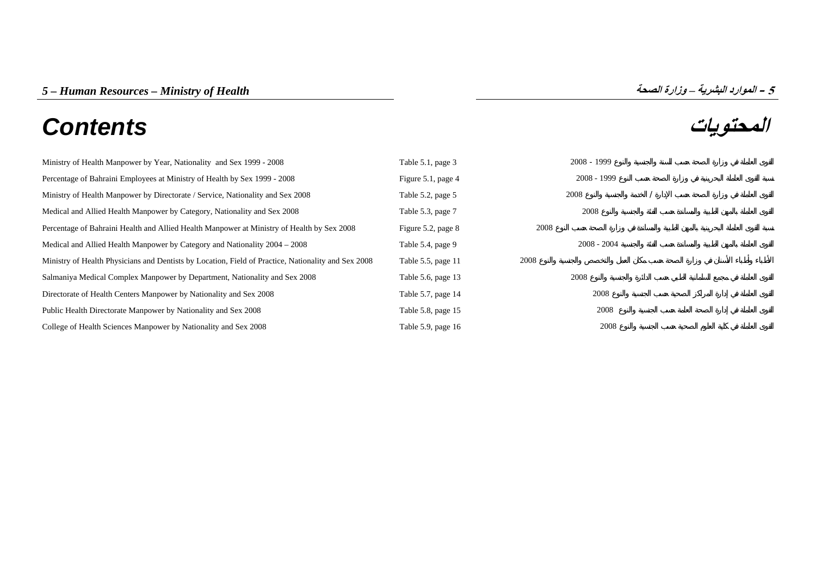# **المحتويات** *Contents*



| Ministry of Health Manpower by Year, Nationality and Sex 1999 - 2008                                | Table 5.1, page 3  |      | $2008 - 1999$ |  |
|-----------------------------------------------------------------------------------------------------|--------------------|------|---------------|--|
| Percentage of Bahraini Employees at Ministry of Health by Sex 1999 - 2008                           | Figure 5.1, page 4 |      | $2008 - 1999$ |  |
| Ministry of Health Manpower by Directorate / Service, Nationality and Sex 2008                      | Table 5.2, page 5  |      | 2008          |  |
| Medical and Allied Health Manpower by Category, Nationality and Sex 2008                            | Table 5.3, page 7  |      | 2008          |  |
| Percentage of Bahraini Health and Allied Health Manpower at Ministry of Health by Sex 2008          | Figure 5.2, page 8 | 2008 |               |  |
| Medical and Allied Health Manpower by Category and Nationality 2004 – 2008                          | Table 5.4, page 9  |      | $2008 - 2004$ |  |
| Ministry of Health Physicians and Dentists by Location, Field of Practice, Nationality and Sex 2008 | Table 5.5, page 11 | 2008 |               |  |
| Salmaniya Medical Complex Manpower by Department, Nationality and Sex 2008                          | Table 5.6, page 13 |      | 2008          |  |
| Directorate of Health Centers Manpower by Nationality and Sex 2008                                  | Table 5.7, page 14 |      | 2008          |  |
| Public Health Directorate Manpower by Nationality and Sex 2008                                      | Table 5.8, page 15 |      | 2008          |  |
| College of Health Sciences Manpower by Nationality and Sex 2008                                     | Table 5.9, page 16 |      | 2008          |  |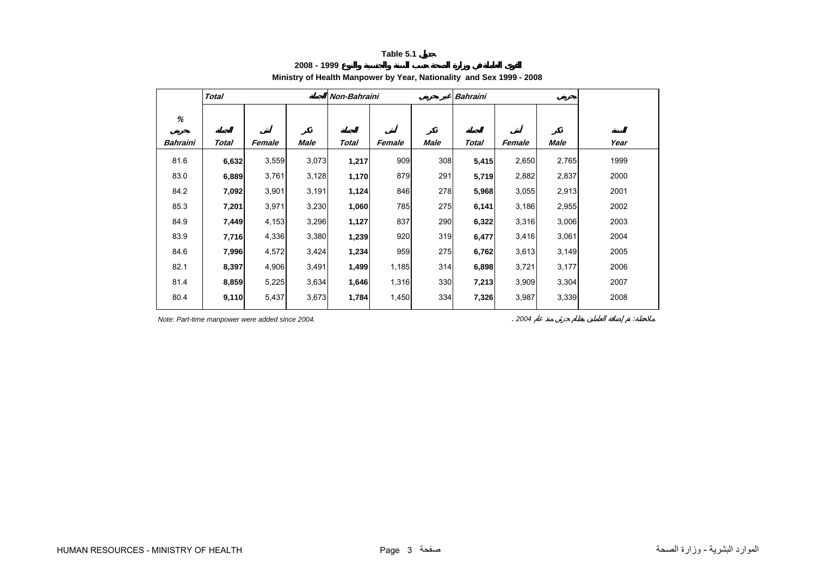**2008 - 1999**

# **Ministry of Health Manpower by Year, Nationality and Sex 1999 - 2008**

<span id="page-1-0"></span>

|          | <b>Total</b> |        |             | Non-Bahraini |        |      | <b>Bahraini</b> |        |       |      |
|----------|--------------|--------|-------------|--------------|--------|------|-----------------|--------|-------|------|
| %        |              |        |             |              |        |      |                 |        |       |      |
| Bahraini | Total        | Female | <b>Male</b> | Total        | Female | Male | Total           | Female | Male  | Year |
| 81.6     | 6,632        | 3,559  | 3,073       | 1,217        | 909    | 308  | 5,415           | 2,650  | 2,765 | 1999 |
| 83.0     | 6,889        | 3,761  | 3,128       | 1,170        | 879    | 291  | 5,719           | 2,882  | 2,837 | 2000 |
| 84.2     | 7,092        | 3,901  | 3,191       | 1,124        | 846    | 278  | 5,968           | 3,055  | 2,913 | 2001 |
| 85.3     | 7,201        | 3,971  | 3,230       | 1,060        | 785    | 275  | 6,141           | 3,186  | 2,955 | 2002 |
| 84.9     | 7,449        | 4,153  | 3,296       | 1,127        | 837    | 290  | 6,322           | 3,316  | 3,006 | 2003 |
| 83.9     | 7,716        | 4,336  | 3,380       | 1,239        | 920    | 319  | 6,477           | 3,416  | 3,061 | 2004 |
| 84.6     | 7,996        | 4,572  | 3,424       | 1,234        | 959    | 275  | 6,762           | 3,613  | 3,149 | 2005 |
| 82.1     | 8,397        | 4,906  | 3,491       | 1,499        | 1,185  | 314  | 6,898           | 3,721  | 3,177 | 2006 |
| 81.4     | 8,859        | 5,225  | 3,634       | 1,646        | 1,316  | 330  | 7,213           | 3,909  | 3,304 | 2007 |
| 80.4     | 9,110        | 5,437  | 3,673       | 1,784        | 1,450  | 334  | 7,326           | 3,987  | 3,339 | 2008 |

*Note: Part-time manpower were added since 2004.* . *2004* :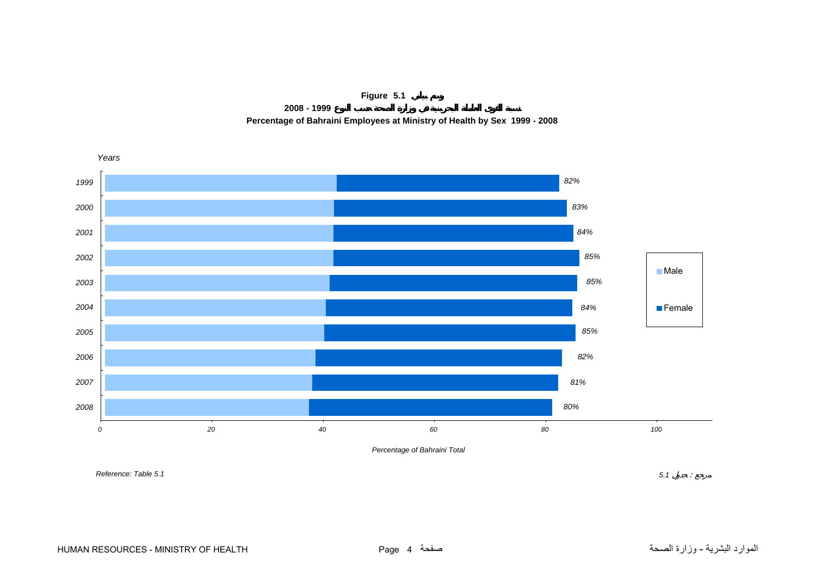

**2008 - 1999**

**Percentage of Bahraini Employees at Ministry of Health by Sex 1999 - 2008**

<span id="page-2-0"></span>

*Percentage of Bahraini Total*

*Reference: Table 5.1*

*5.1* :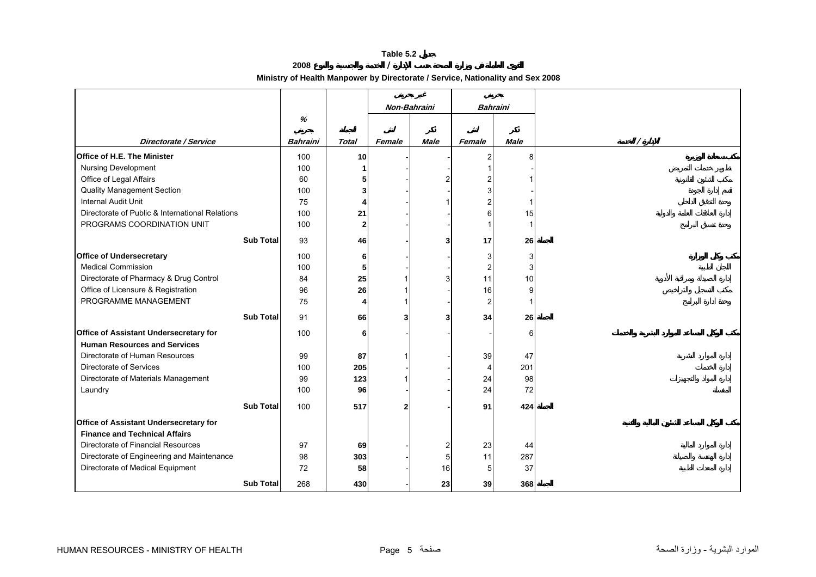**2008 /** 

**Ministry of Health Manpower by Directorate / Service, Nationality and Sex 2008**

<span id="page-3-0"></span>

|                                                 |                 |              |                | Non-Bahraini |                         | <b>Bahraini</b> |  |
|-------------------------------------------------|-----------------|--------------|----------------|--------------|-------------------------|-----------------|--|
|                                                 | %               |              |                |              |                         |                 |  |
| Directorate / Service                           | <b>Bahraini</b> | <b>Total</b> | Female         | <b>Male</b>  | Female                  | <b>Male</b>     |  |
| Office of H.E. The Minister                     | 100             | 10           |                |              | $\overline{\mathbf{c}}$ | 8               |  |
| Nursing Development                             | 100             | 1            |                |              | -1                      |                 |  |
| Office of Legal Affairs                         | 60              | 5            |                | 2            | $\overline{c}$          |                 |  |
| <b>Quality Management Section</b>               | 100             | 3            |                |              | 3                       |                 |  |
| Internal Audit Unit                             | 75              | 4            |                |              | $\overline{\mathbf{c}}$ |                 |  |
| Directorate of Public & International Relations | 100             | 21           |                |              | 6                       | 15              |  |
| PROGRAMS COORDINATION UNIT                      | 100             | $\mathbf{2}$ |                |              | $\mathbf 1$             |                 |  |
| <b>Sub Total</b>                                | 93              |              |                |              |                         |                 |  |
|                                                 |                 | 46           |                | 3            | 17                      | 26              |  |
| <b>Office of Undersecretary</b>                 | 100             | 6            |                |              | 3                       | 3               |  |
| Medical Commission                              | 100             | 5            |                |              | $\overline{\mathbf{c}}$ | 3               |  |
| Directorate of Pharmacy & Drug Control          | 84              | 25           |                | 3            | 11                      | 10              |  |
| Office of Licensure & Registration              | 96              | 26           |                |              | 16                      | 9               |  |
| PROGRAMME MANAGEMENT                            | 75              | 4            |                |              | $\overline{c}$          |                 |  |
| <b>Sub Total</b>                                | 91              | 66           | 3              | 3            | 34                      | 26              |  |
| Office of Assistant Undersecretary for          | 100             | 6            |                |              |                         | 6               |  |
| <b>Human Resources and Services</b>             |                 |              |                |              |                         |                 |  |
| Directorate of Human Resources                  | 99              | 87           |                |              | 39                      | 47              |  |
| Directorate of Services                         | 100             | 205          |                |              | 4                       | 201             |  |
| Directorate of Materials Management             | 99              | 123          |                |              | 24                      | 98              |  |
| Laundry                                         | 100             | 96           |                |              | 24                      | 72              |  |
| <b>Sub Total</b>                                | 100             | 517          | 2 <sup>1</sup> |              | 91                      | 424             |  |
|                                                 |                 |              |                |              |                         |                 |  |
| Office of Assistant Undersecretary for          |                 |              |                |              |                         |                 |  |
| <b>Finance and Technical Affairs</b>            |                 |              |                |              |                         |                 |  |
| Directorate of Financial Resources              | 97              | 69           |                | 2            | 23                      | 44              |  |
| Directorate of Engineering and Maintenance      | 98              | 303          |                | 5            | 11                      | 287             |  |
| Directorate of Medical Equipment                | 72              | 58           |                | 16           | 5                       | 37              |  |
| <b>Sub Total</b>                                | 268             | 430          |                | 23           | 39                      | 368             |  |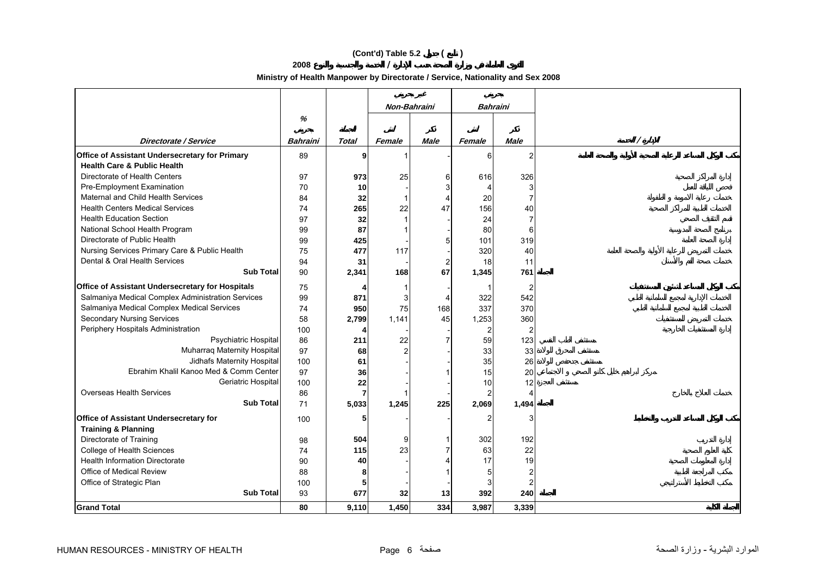# **(Cont'd) Table 5.2 ( )**

**2008 /** 

**Ministry of Health Manpower by Directorate / Service, Nationality and Sex 2008**

|                                                   |          |                | Non-Bahraini |                | <b>Bahraini</b> |                |          |
|---------------------------------------------------|----------|----------------|--------------|----------------|-----------------|----------------|----------|
|                                                   | $\%$     |                |              |                |                 |                |          |
|                                                   |          |                |              |                |                 |                |          |
| Directorate / Service                             | Bahraini | Total          | Female       | <b>Male</b>    | Female          | <b>Male</b>    | $\prime$ |
| Office of Assistant Undersecretary for Primary    | 89       | 9              |              |                | 6               | 2              |          |
| <b>Health Care &amp; Public Health</b>            |          |                |              |                |                 |                |          |
| Directorate of Health Centers                     | 97       | 973            | 25           | 6              | 616             | 326            |          |
| Pre-Employment Examination                        | 70       | 10             |              |                | 4               | 3              |          |
| Maternal and Child Health Services                | 84       | 32             | -1           |                | 20              | $\overline{7}$ |          |
| <b>Health Centers Medical Services</b>            | 74       | 265            | 22           | 47             | 156             | 40             |          |
| <b>Health Education Section</b>                   | 97       | 32             |              |                | 24              | $\overline{7}$ |          |
| National School Health Program                    | 99       | 87             |              |                | 80              | 6              |          |
| Directorate of Public Health                      | 99       | 425            |              |                | 101             | 319            |          |
| Nursing Services Primary Care & Public Health     | 75       | 477            | 117          |                | 320             | 40             |          |
| Dental & Oral Health Services                     | 94       | 31             |              | $\overline{2}$ | 18              | 11             |          |
| <b>Sub Total</b>                                  | 90       | 2,341          | 168          | 67             | 1,345           | 761            |          |
| Office of Assistant Undersecretary for Hospitals  | 75       |                |              |                | 1               | $\overline{2}$ |          |
| Salmaniya Medical Complex Administration Services | 99       | 871            | 3            |                | 322             | 542            |          |
| Salmaniya Medical Complex Medical Services        | 74       | 950            | 75           | 168            | 337             | 370            |          |
| <b>Secondary Nursing Services</b>                 | 58       | 2,799          | 1,141        | 45             | 1,253           | 360            |          |
| Periphery Hospitals Administration                | 100      | 4              |              |                | 2               | $\overline{2}$ |          |
| Psychiatric Hospital                              | 86       | 211            | 22           | 7              | 59              | 123            |          |
| Muharraq Maternity Hospital                       | 97       | 68             | 2            |                | 33              | 33             |          |
| Jidhafs Maternity Hospital                        | 100      | 61             |              |                | 35              | 26             |          |
| Ebrahim Khalil Kanoo Med & Comm Center            | 97       | 36             |              |                | 15              | 20             |          |
| Geriatric Hospital                                | 100      | 22             |              |                | 10              | 12             |          |
| Overseas Health Services                          | 86       | $\overline{7}$ |              |                | $\overline{2}$  |                |          |
| <b>Sub Total</b>                                  | 71       | 5,033          | 1,245        | 225            | 2,069           | 1,494          |          |
| Office of Assistant Undersecretary for            | 100      | 5              |              |                | 2               | 3              |          |
| <b>Training &amp; Planning</b>                    |          |                |              |                |                 |                |          |
| Directorate of Training                           | 98       | 504            | g            |                | 302             | 192            |          |
| College of Health Sciences                        | 74       | 115            | 23           |                | 63              | 22             |          |
| <b>Health Information Directorate</b>             | 90       | 40             |              |                | 17              | 19             |          |
| Office of Medical Review                          | 88       | 8              |              |                | 5               | $\overline{2}$ |          |
| Office of Strategic Plan                          | 100      | 5              |              |                | 3               | $\overline{2}$ |          |
| <b>Sub Total</b>                                  | 93       | 677            | 32           | 13             | 392             | 240            |          |
| <b>Grand Total</b>                                | 80       | 9,110          | 1,450        | 334            | 3,987           | 3,339          |          |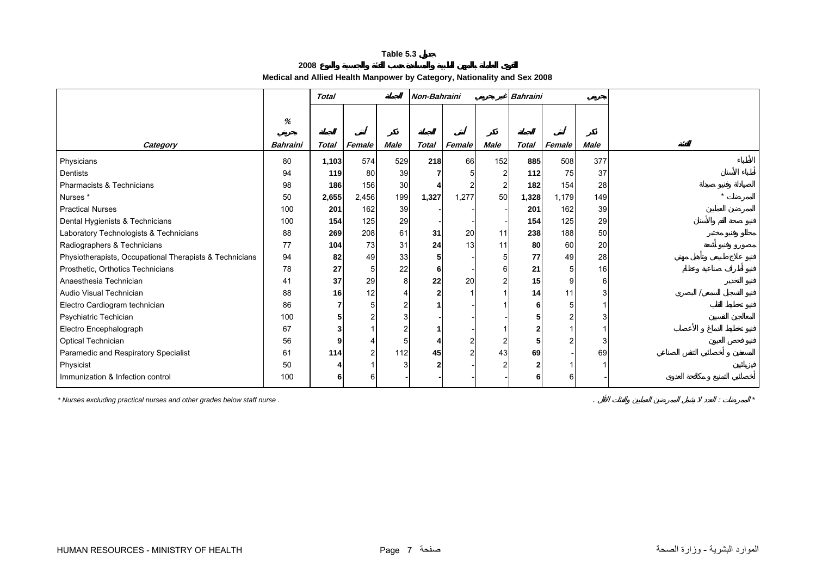## **2008Medical and Allied Health Manpower by Category, Nationality and Sex 2008**

<span id="page-5-0"></span>

|                                                         |                      | <b>Total</b> |        |             | Non-Bahraini |        |             | <b>Bahraini</b> |        |             |  |
|---------------------------------------------------------|----------------------|--------------|--------|-------------|--------------|--------|-------------|-----------------|--------|-------------|--|
| Category                                                | %<br><b>Bahraini</b> | <b>Total</b> | Female | <b>Male</b> | Total        | Female | <b>Male</b> | <b>Total</b>    | Female | <b>Male</b> |  |
| Physicians                                              | 80                   | 1,103        | 574    | 529         | 218          | 66     | 152         | 885             | 508    | 377         |  |
| Dentists                                                | 94                   | 119          | 80     | 39          |              |        |             | 112             | 75     | 37          |  |
| Pharmacists & Technicians                               | 98                   | 186          | 156    | 30          |              |        |             | 182             | 154    | 28          |  |
| Nurses*                                                 | 50                   | 2,655        | 2,456  | 199         | 1,327        | 1,277  | 50          | 1,328           | 1,179  | 149         |  |
| <b>Practical Nurses</b>                                 | 100                  | 201          | 162    | 39          |              |        |             | 201             | 162    | 39          |  |
| Dental Hygienists & Technicians                         | 100                  | 154          | 125    | 29          |              |        |             | 154             | 125    | 29          |  |
| Laboratory Technologists & Technicians                  | 88                   | 269          | 208    | 61          | 31           | 20     | 11          | 238             | 188    | 50          |  |
| Radiographers & Technicians                             | 77                   | 104          | 73     | 31          | 24           | 13     | 11          | 80              | 60     | 20          |  |
| Physiotherapists, Occupational Therapists & Technicians | 94                   | 82           | 49     | 33          |              |        |             | 77              | 49     | 28          |  |
| Prosthetic, Orthotics Technicians                       | 78                   | 27           | 5      | 22          | 6            |        | 6           | 21              |        | 16          |  |
| Anaesthesia Technician                                  | 41                   | 37           | 29     |             | 22           | 20     |             | 15              | 9      | 6           |  |
| Audio Visual Technician                                 | 88                   | 16           | 12     |             |              |        |             | 14              | 11     |             |  |
| Electro Cardiogram technician                           | 86                   |              | 5      |             |              |        |             |                 |        |             |  |
| Psychiatric Techician                                   | 100                  |              |        |             |              |        |             |                 |        |             |  |
| Electro Encephalograph                                  | 67                   |              |        |             |              |        |             |                 |        |             |  |
| Optical Technician                                      | 56                   | 9            |        |             |              |        |             |                 |        | 3           |  |
| Paramedic and Respiratory Specialist                    | 61                   | 114          | 2      | 112         | 45           |        | 43          | 69              |        | 69          |  |
| Physicist                                               | 50                   |              |        |             |              |        |             |                 |        |             |  |
| Immunization & Infection control                        | 100                  | 6            | 6      |             |              |        |             | 6               | 6      |             |  |

*\* Nurses excluding practical nurses and other grades below staff nurse .* . : *\**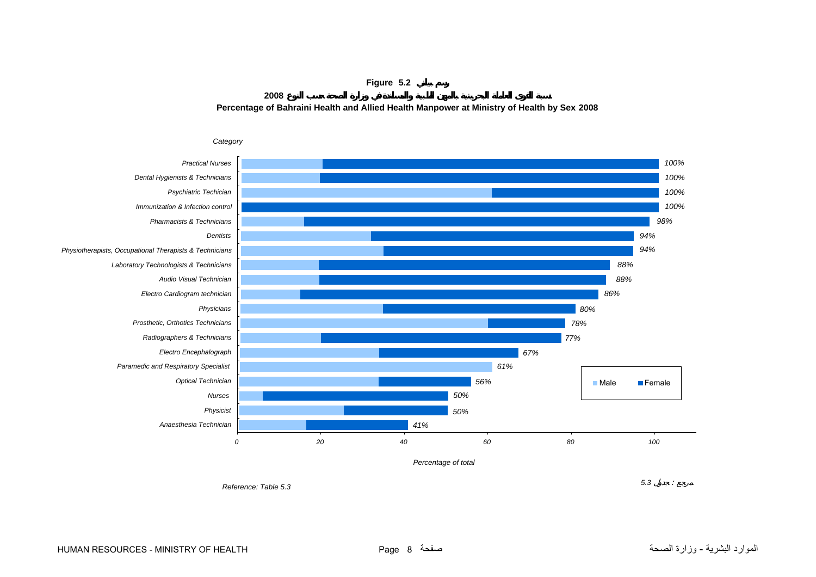**Figure 5.2**

**2008**

*Reference: Table 5.3*

**Percentage of Bahraini Health and Allied Health Manpower at Ministry of Health by Sex 2008**

<span id="page-6-0"></span>

**3 5.3 f**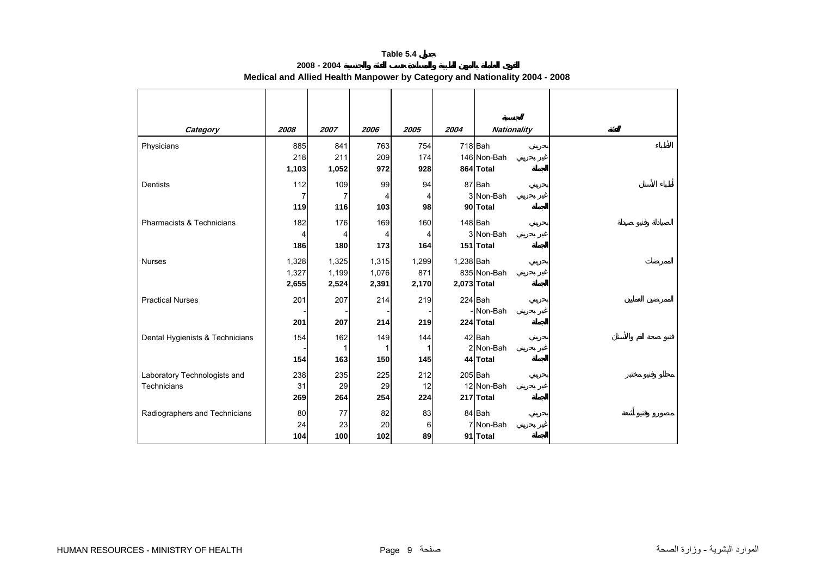**2008 - 2004**

<span id="page-7-0"></span>

| Category                        | 2008  | 2007  | 2006  | 2005  | 2004      | <b>Nationality</b> |
|---------------------------------|-------|-------|-------|-------|-----------|--------------------|
| Physicians                      | 885   | 841   | 763   | 754   |           | 718 Bah            |
|                                 | 218   | 211   | 209   | 174   |           | 146 Non-Bah        |
|                                 | 1,103 | 1,052 | 972   | 928   |           | 864 Total          |
| <b>Dentists</b>                 | 112   | 109   | 99    | 94    |           | 87 Bah             |
|                                 | 7     | 7     | 4     | 4     |           | 3 Non-Bah          |
|                                 | 119   | 116   | 103   | 98    |           | 90 Total           |
| Pharmacists & Technicians       | 182   | 176   | 169   | 160   |           | 148 Bah            |
|                                 | 4     | 4     | 4     | 4     |           | 3 Non-Bah          |
|                                 | 186   | 180   | 173   | 164   |           | 151 Total          |
| Nurses                          | 1,328 | 1,325 | 1,315 | 1,299 | 1,238 Bah |                    |
|                                 | 1,327 | 1,199 | 1,076 | 871   |           | 835 Non-Bah        |
|                                 | 2,655 | 2,524 | 2,391 | 2,170 |           | 2,073 Total        |
| <b>Practical Nurses</b>         | 201   | 207   | 214   | 219   |           | 224 Bah            |
|                                 |       |       |       |       |           | - Non-Bah          |
|                                 | 201   | 207   | 214   | 219   |           | 224 Total          |
| Dental Hygienists & Technicians | 154   | 162   | 149   | 144   |           | 42 Bah             |
|                                 |       | 1     |       | 1     |           | 2 Non-Bah          |
|                                 | 154   | 163   | 150   | 145   |           | 44 Total           |
| Laboratory Technologists and    | 238   | 235   | 225   | 212   |           | $205$ Bah          |
| Technicians                     | 31    | 29    | 29    | 12    |           | 12 Non-Bah         |
|                                 | 269   | 264   | 254   | 224   |           | 217 Total          |
| Radiographers and Technicians   | 80    | 77    | 82    | 83    |           | 84 Bah             |
|                                 | 24    | 23    | 20    | 6     |           | 7 Non-Bah          |
|                                 | 104   | 100   | 102   | 89    |           | 91 Total           |

**Medical and Allied Health Manpower by Category and Nationality 2004 - 2008**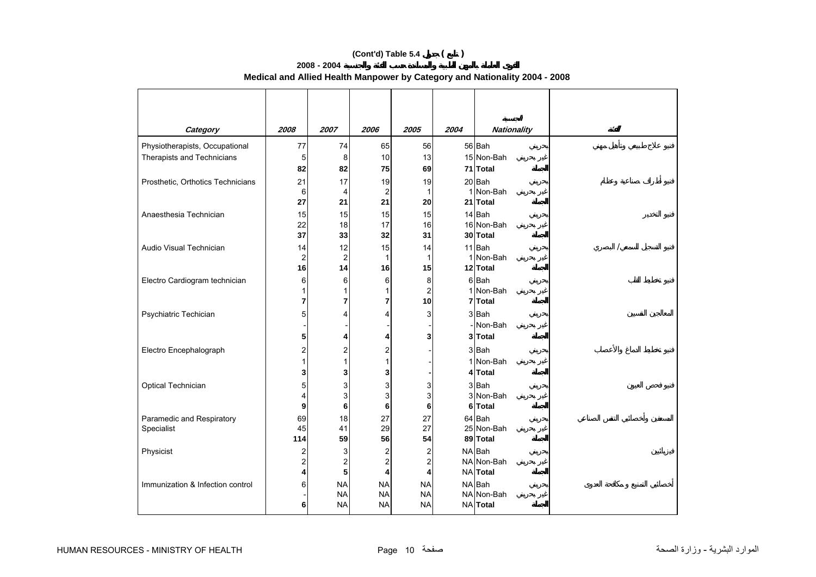# **(Cont'd) Table 5.4 ( )**

## **2008 - 2004 Medical and Allied Health Manpower by Category and Nationality 2004 - 2008**

| Category                          | 2008    | 2007                    | 2006      | 2005               | 2004 | <b>Nationality</b>    |  |
|-----------------------------------|---------|-------------------------|-----------|--------------------|------|-----------------------|--|
| Physiotherapists, Occupational    | 77      | 74                      | 65        | 56                 |      | 56 Bah                |  |
| Therapists and Technicians        | 5       | 8                       | 10        | 13                 |      | 15 Non-Bah            |  |
|                                   | 82      | 82                      | 75        | 69                 |      | 71 Total              |  |
| Prosthetic, Orthotics Technicians | 21      | 17                      | 19        | 19                 |      | 20 Bah                |  |
|                                   | 6       | 4                       | 2         | $\mathbf{1}$       | 1    | Non-Bah               |  |
|                                   | 27      | 21                      | 21        | 20                 |      | 21 Total              |  |
| Anaesthesia Technician            | 15      | 15                      | 15        | 15                 |      | 14 Bah                |  |
|                                   | 22      | 18                      | 17        | 16                 |      | 16 Non-Bah            |  |
|                                   | 37      | 33                      | 32        | 31                 |      | 30 Total              |  |
| Audio Visual Technician           | 14      | 12                      | 15        | 14                 |      | 11 Bah                |  |
|                                   | 2<br>16 | $\overline{2}$<br>14    | 1<br>16   | $\mathbf{1}$<br>15 |      | 1 Non-Bah<br>12 Total |  |
|                                   |         |                         |           | 8                  |      | 6Bah                  |  |
| Electro Cardiogram technician     | 6<br>1  | 6<br>1                  | 6<br>1    | $\overline{c}$     |      | 1 Non-Bah             |  |
|                                   | 7       | 7                       | 7         | 10                 |      | 7 Total               |  |
| Psychiatric Techician             | 5       | 4                       | 4         | 3                  |      | 3Bah                  |  |
|                                   |         |                         |           |                    |      | Non-Bah               |  |
|                                   | 5       | 4                       | 4         | 3                  |      | 3 Total               |  |
| Electro Encephalograph            | 2       | $\overline{c}$          | 2         |                    |      | 3Bah                  |  |
|                                   |         | 1                       | 1         |                    |      | 1 Non-Bah             |  |
|                                   | 3       | 3                       | 3         |                    |      | 4 Total               |  |
| Optical Technician                | 5       | 3                       | 3         | 3                  |      | 3 Bah                 |  |
|                                   | 4       | 3                       | 3         | 3                  |      | 3 Non-Bah             |  |
|                                   | 9       | 6                       | 6         | 6                  |      | 6 Total               |  |
| Paramedic and Respiratory         | 69      | 18                      | 27        | 27                 |      | 64 Bah                |  |
| Specialist                        | 45      | 41                      | 29        | 27                 |      | 25 Non-Bah            |  |
|                                   | 114     | 59                      | 56        | 54                 |      | 89 Total              |  |
| Physicist                         | 2       | 3                       | 2         | $\overline{c}$     |      | NA Bah                |  |
|                                   | 2       | $\overline{\mathbf{c}}$ | 2         | $\overline{c}$     |      | NA Non-Bah            |  |
|                                   | 4       | 5                       | 4         | 4                  |      | NA Total              |  |
| Immunization & Infection control  | 6       | <b>NA</b>               | <b>NA</b> | <b>NA</b>          |      | NA Bah                |  |
|                                   |         | <b>NA</b>               | <b>NA</b> | <b>NA</b>          |      | NA Non-Bah            |  |
|                                   | 6       | <b>NA</b>               | <b>NA</b> | <b>NA</b>          |      | NA Total              |  |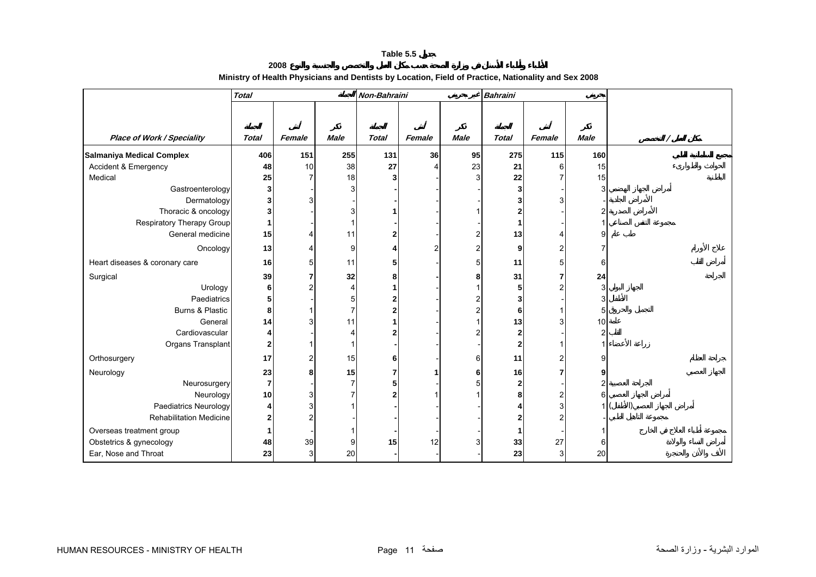| 2008                                                                                                |  |
|-----------------------------------------------------------------------------------------------------|--|
| Ministry of Health Physicians and Dentists by Location, Field of Practice, Nationality and Sex 2008 |  |

<span id="page-9-0"></span>

|                                   | Total          |                |                | Non-Bahraini |        |             | <b>Bahraini</b>  |        |             |  |
|-----------------------------------|----------------|----------------|----------------|--------------|--------|-------------|------------------|--------|-------------|--|
|                                   |                |                |                |              |        |             |                  |        |             |  |
|                                   |                |                |                |              |        |             |                  |        |             |  |
| <b>Place of Work / Speciality</b> | <b>Total</b>   | Female         | <b>Male</b>    | <b>Total</b> | Female | <b>Male</b> | <b>Total</b>     | Female | <b>Male</b> |  |
| <b>Salmaniya Medical Complex</b>  | 406            | 151            | 255            | 131          | 36     | 95          | 275              | 115    | 160         |  |
| Accident & Emergency              | 48             | 10             | 38             | 27           |        | 23          | 21               | 6      | 15          |  |
| Medical                           | 25             | 7              | 18             |              |        | 3           | 22               |        | 15          |  |
| Gastroenterology                  | 3              |                | $\overline{3}$ |              |        |             | 3                |        | 3           |  |
| Dermatology                       | 3              | 3              |                |              |        |             | 3                |        |             |  |
| Thoracic & oncology               | 3              |                | 3              |              |        |             | 2                |        |             |  |
| Respiratory Therapy Group         |                |                |                |              |        |             | 1                |        |             |  |
| General medicine                  | 15             |                | 11             |              |        |             | 13               |        | a           |  |
| Oncology                          | 13             |                | 9              |              |        | 2           | $\boldsymbol{9}$ |        |             |  |
| Heart diseases & coronary care    | 16             | 5              | 11             |              |        | 5           | 11               |        | 6           |  |
| Surgical                          | 39             | 7              | 32             | 8            |        | 8           | 31               |        | 24          |  |
| Urology                           | 6              | $\overline{c}$ | 4              |              |        |             | 5 <sub>5</sub>   |        | 3           |  |
| Paediatrics                       | 5              |                | 5              |              |        |             | 3                |        |             |  |
| Burns & Plastic                   | 8              |                | $\overline{7}$ |              |        |             | 6                |        | 5           |  |
| General                           | 14             | 3              | 11             |              |        |             | 13               |        | 10          |  |
| Cardiovascular                    |                |                | Δ              |              |        |             | $\mathbf 2$      |        |             |  |
| Organs Transplant                 | 2              |                |                |              |        |             | $\mathbf{2}$     |        |             |  |
| Orthosurgery                      | 17             | $\overline{2}$ | 15             | 6            |        | 6           | 11               |        |             |  |
| Neurology                         | 23             | 8              | 15             |              |        | 6           | 16               |        |             |  |
| Neurosurgery                      | $\overline{7}$ |                | $\overline{7}$ | 5            |        |             | $\mathbf{2}$     |        |             |  |
| Neurology                         | 10             | 3              |                |              |        |             | 8                |        | 6           |  |
| Paediatrics Neurology             |                | 3              |                |              |        |             |                  |        |             |  |
| <b>Rehabilitation Medicine</b>    | 2              | $\overline{c}$ |                |              |        |             | 2                |        |             |  |
| Overseas treatment group          |                |                |                |              |        |             | 1                |        |             |  |
| Obstetrics & gynecology           | 48             | 39             | 9              | 15           | 12     |             | 33               | 27     | 6           |  |
| Ear, Nose and Throat              | 23             | 3 <sup>1</sup> | 20             |              |        |             | 23               | 3      | 20          |  |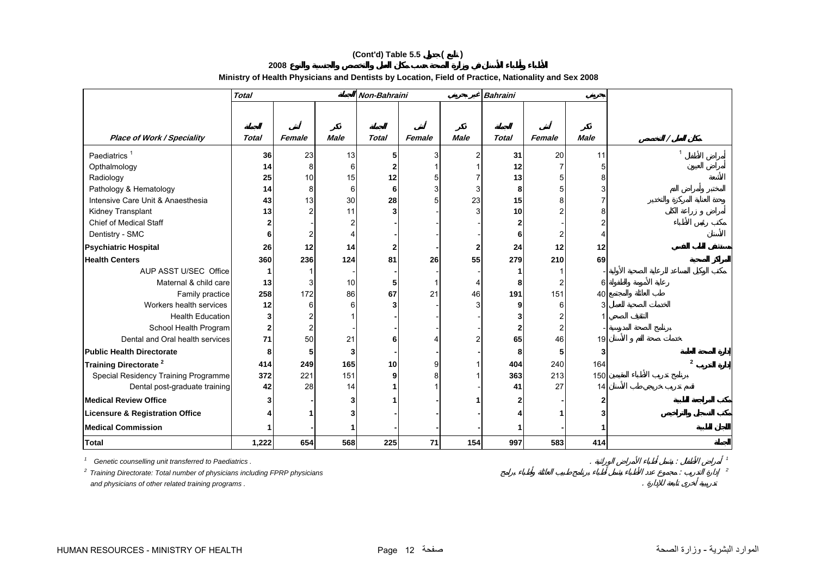## **(Cont'd) Table 5.5 ( )**

**2008**

## **Ministry of Health Physicians and Dentists by Location, Field of Practice, Nationality and Sex 2008**

|                                            | <b>Total</b> |        |                | Non-Bahraini |        |             | <b>Bahraini</b> |                |             |                |
|--------------------------------------------|--------------|--------|----------------|--------------|--------|-------------|-----------------|----------------|-------------|----------------|
|                                            |              |        |                |              |        |             |                 |                |             |                |
|                                            |              |        |                |              |        |             |                 |                |             |                |
| <b>Place of Work / Speciality</b>          | <b>Total</b> | Female | <b>Male</b>    | <b>Total</b> | Female | <b>Male</b> | <b>Total</b>    | Female         | <b>Male</b> |                |
| Paediatrics <sup>1</sup>                   | 36           | 23     | 13             |              | 3      |             | 31              | 20             | 11          | $\mathbf{1}$   |
| Opthalmology                               | 14           | 8      | $6 \,$         |              |        |             | 12              | 7              |             |                |
| Radiology                                  | 25           | 10     | 15             | 12           | 5      |             | 13              | 5              |             |                |
| Pathology & Hematology                     | 14           | 8      | 6              | 6            | 3      |             | 8               | 5              |             |                |
| Intensive Care Unit & Anaesthesia          | 43           | 13     | 30             | 28           | 5      | 23          | 15              | 8              |             |                |
| Kidney Transplant                          | 13           |        | 11             |              |        |             | 10 <sup>1</sup> |                |             |                |
| <b>Chief of Medical Staff</b>              |              |        | $\overline{2}$ |              |        |             |                 |                |             |                |
| Dentistry - SMC                            |              |        | $\overline{4}$ |              |        |             | 6               | 2              |             |                |
| <b>Psychiatric Hospital</b>                | 26           | 12     | 14             |              |        |             | 24              | 12             | 12          |                |
| <b>Health Centers</b>                      | 360          | 236    | 124            | 81           | 26     | 55          | 279             | 210            | 69          |                |
| AUP ASST U/SEC Office                      |              |        |                |              |        |             |                 |                |             |                |
| Maternal & child care                      | 13           |        | 10             |              |        |             | Я               |                | 6           |                |
| Family practice                            | 258          | 172    | 86             | 67           | 21     | 46          | 191             | 151            | 40          |                |
| Workers health services                    | 12           |        | 6              |              |        |             | o               | 6              |             |                |
| <b>Health Education</b>                    | 3            |        |                |              |        |             |                 |                |             |                |
| School Health Program                      | $\mathbf{2}$ |        |                |              |        |             |                 | $\overline{2}$ |             |                |
| Dental and Oral health services            | 71           | 50     | 21             |              |        |             | 65              | 46             | 19          |                |
| <b>Public Health Directorate</b>           | 8            |        | 3              |              |        |             | 8               | 5              |             |                |
| Training Directorate <sup>2</sup>          | 414          | 249    | 165            | 10           | 9      |             | 404             | 240            | 164         | $\overline{2}$ |
| Special Residency Training Programme       | 372          | 221    | 151            | 9            | 8      |             | 363             | 213            | 150         |                |
| Dental post-graduate training              | 42           | 28     | 14             |              |        |             | 41              | 27             | 14          |                |
| <b>Medical Review Office</b>               |              |        | 3              |              |        |             |                 |                |             |                |
| <b>Licensure &amp; Registration Office</b> |              |        | 3              |              |        |             |                 |                |             |                |
| <b>Medical Commission</b>                  |              |        |                |              |        |             |                 |                |             |                |
| <b>Total</b>                               | 1,222        | 654    | 568            | 225          | 71     | 154         | 997             | 583            | 414         |                |

*1 Genetic counselling unit transferred to Paediatrics .* . : *<sup>1</sup> 2 Training Directorate: Total number of physicians including FPRP physicians* : *<sup>2</sup> and physicians of other related training programs .* .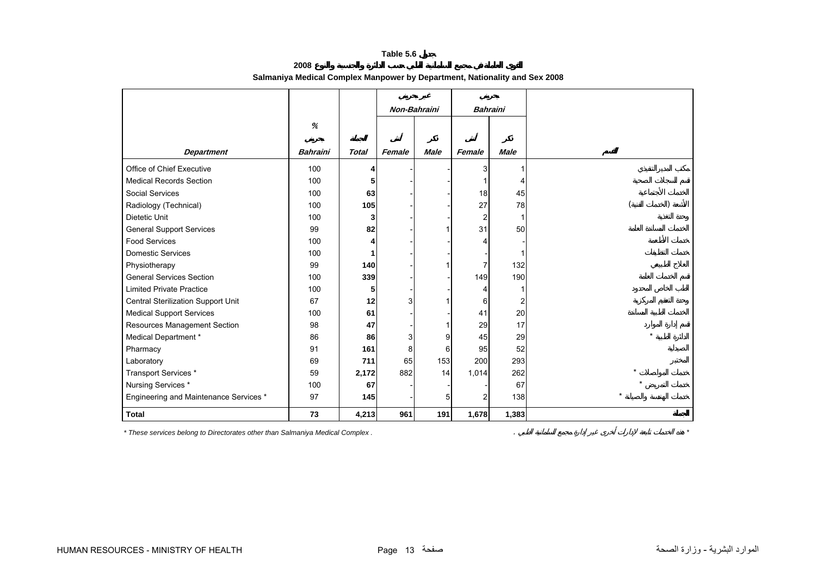<span id="page-11-0"></span>

|                                        |                 |              | Non-Bahraini |                | <b>Bahraini</b>         |                |  |
|----------------------------------------|-----------------|--------------|--------------|----------------|-------------------------|----------------|--|
|                                        | %               |              |              |                |                         |                |  |
| <b>Department</b>                      | <b>Bahraini</b> | <b>Total</b> | Female       | <b>Male</b>    | Female                  | <b>Male</b>    |  |
| Office of Chief Executive              | 100             | 4            |              |                | 3                       | 1              |  |
| <b>Medical Records Section</b>         | 100             | 5            |              |                | 1                       | 4              |  |
| Social Services                        | 100             | 63           |              |                | 18                      | 45             |  |
| Radiology (Technical)                  | 100             | 105          |              |                | 27                      | 78             |  |
| <b>Dietetic Unit</b>                   | 100             | 3            |              |                | $\overline{\mathbf{c}}$ |                |  |
| <b>General Support Services</b>        | 99              | 82           |              |                | 31                      | 50             |  |
| <b>Food Services</b>                   | 100             | 4            |              |                | 4                       |                |  |
| <b>Domestic Services</b>               | 100             | 1            |              |                |                         |                |  |
| Physiotherapy                          | 99              | 140          |              |                | 7                       | 132            |  |
| <b>General Services Section</b>        | 100             | 339          |              |                | 149                     | 190            |  |
| <b>Limited Private Practice</b>        | 100             | 5            |              |                | 4                       |                |  |
| Central Sterilization Support Unit     | 67              | 12           | 3            |                | 6                       | $\overline{2}$ |  |
| <b>Medical Support Services</b>        | 100             | 61           |              |                | 41                      | 20             |  |
| Resources Management Section           | 98              | 47           |              |                | 29                      | 17             |  |
| Medical Department *                   | 86              | 86           | 3            | 9              | 45                      | 29             |  |
| Pharmacy                               | 91              | 161          | 8            | 6              | 95                      | 52             |  |
| Laboratory                             | 69              | 711          | 65           | 153            | 200                     | 293            |  |
| Transport Services *                   | 59              | 2,172        | 882          | 14             | 1,014                   | 262            |  |
| Nursing Services*                      | 100             | 67           |              |                |                         | 67             |  |
| Engineering and Maintenance Services * | 97              | 145          |              | 5 <sub>l</sub> | $\overline{2}$          | 138            |  |
| <b>Total</b>                           | 73              | 4,213        | 961          | 191            | 1,678                   | 1,383          |  |

**2008Salmaniya Medical Complex Manpower by Department, Nationality and Sex 2008**

*\* These services belong to Directorates other than Salmaniya Medical Complex .* . *\**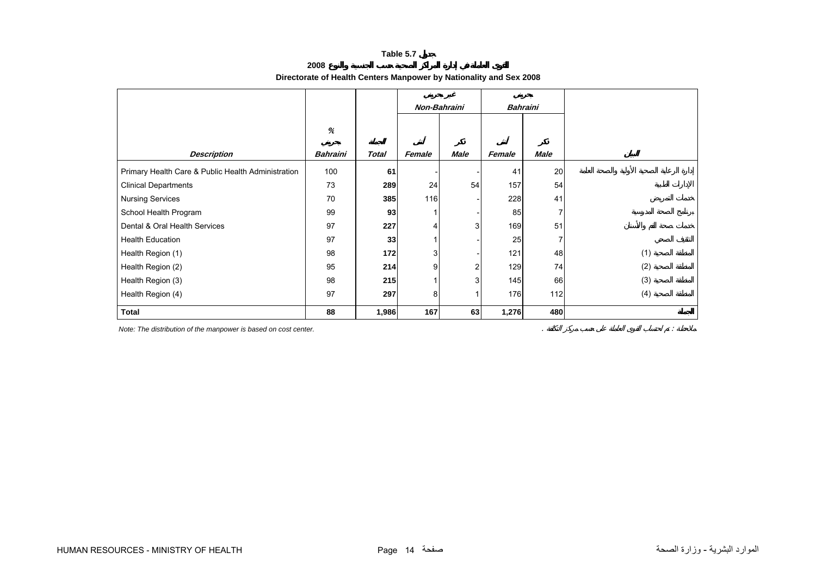**2008**

<span id="page-12-0"></span>

|                                                    |                 |              | Non-Bahraini |      | <b>Bahraini</b> |      |     |
|----------------------------------------------------|-----------------|--------------|--------------|------|-----------------|------|-----|
|                                                    | $\%$            |              |              |      |                 |      |     |
| <b>Description</b>                                 | <b>Bahraini</b> | <b>Total</b> | Female       | Male | Female          | Male |     |
| Primary Health Care & Public Health Administration | 100             | 61           |              |      | 41              | 20   |     |
| <b>Clinical Departments</b>                        | 73              | 289          | 24           | 54   | 157             | 54   |     |
| <b>Nursing Services</b>                            | 70              | 385          | 116          |      | 228             | 41   |     |
| School Health Program                              | 99              | 93           |              |      | 85              |      |     |
| Dental & Oral Health Services                      | 97              | 227          | 4            | 3    | 169             | 51   |     |
| <b>Health Education</b>                            | 97              | 33           |              |      | 25              |      |     |
| Health Region (1)                                  | 98              | 172          | 3            |      | 121             | 48   | (1) |
| Health Region (2)                                  | 95              | 214          | 9            |      | 129             | 74   | (2) |
| Health Region (3)                                  | 98              | 215          |              | 3    | 145             | 66   | (3) |
| Health Region (4)                                  | 97              | 297          | 8            |      | 176             | 112  | (4) |
| <b>Total</b>                                       | 88              | 1,986        | 167          | 63   | 1,276           | 480  |     |

## **Directorate of Health Centers Manpower by Nationality and Sex 2008**

*Note: The distribution of the manpower is based on cost center.* . :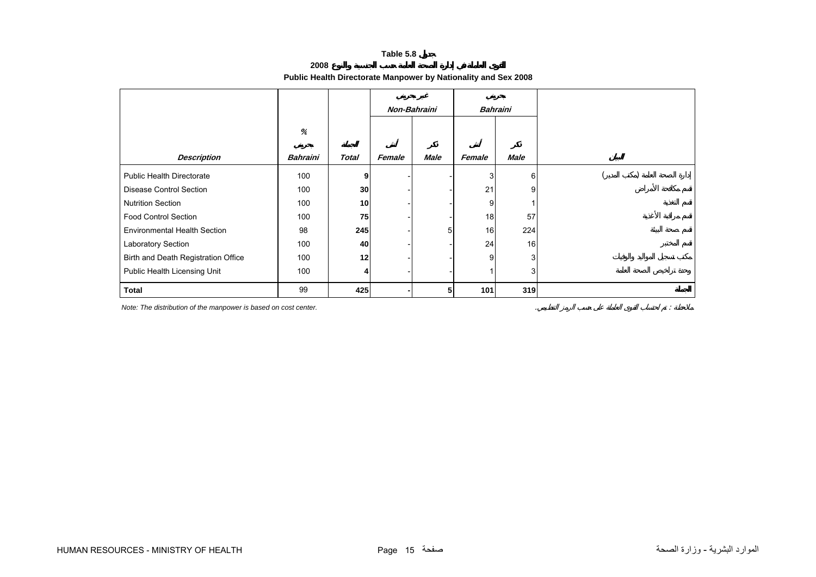**2008**

# **Public Health Directorate Manpower by Nationality and Sex 2008**

<span id="page-13-0"></span>

|                                     |                 |              | Non-Bahraini |             |        | <b>Bahraini</b> |  |
|-------------------------------------|-----------------|--------------|--------------|-------------|--------|-----------------|--|
|                                     | %               |              |              |             |        |                 |  |
| <b>Description</b>                  | <b>Bahraini</b> | <b>Total</b> | Female       | <b>Male</b> | Female | <b>Male</b>     |  |
| <b>Public Health Directorate</b>    | 100             | 9            |              |             | 3      | 6               |  |
| <b>Disease Control Section</b>      | 100             | 30           |              |             | 21     | 9               |  |
| <b>Nutrition Section</b>            | 100             | 10           |              |             | 9      |                 |  |
| <b>Food Control Section</b>         | 100             | 75           |              |             | 18     | 57              |  |
| <b>Environmental Health Section</b> | 98              | 245          |              | 5           | 16     | 224             |  |
| Laboratory Section                  | 100             | 40           |              |             | 24     | 16              |  |
| Birth and Death Registration Office | 100             | 12           |              |             | 9      | 3               |  |
| Public Health Licensing Unit        | 100             | $\vert$      |              |             |        | 3               |  |
| <b>Total</b>                        | 99              | 425          |              | 5           | 101    | 319             |  |

*Note: The distribution of the manpower is based on cost center.* . :